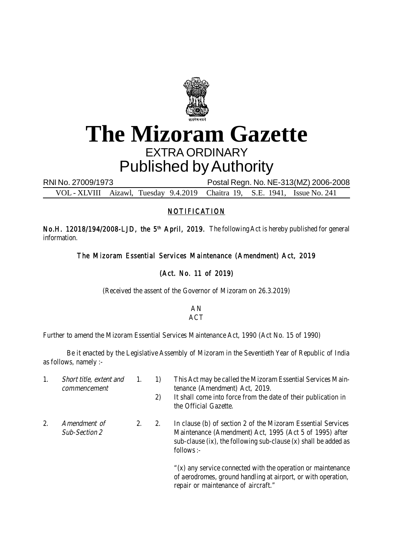

## **The Mizoram Gazette** EXTRA ORDINARY Published by Authority

RNI No. 27009/1973 Postal Regn. No. NE-313(MZ) 2006-2008 VOL - XLVIII Aizawl, Tuesday 9.4.2019 Chaitra 19, S.E. 1941, Issue No. 241

## NOTIFICATION

No.H. 12018/194/2008-LJD, the 5<sup>th</sup> April, 2019. The following Act is hereby published for general information.

The Mizoram Essential Services Maintenance (Amendment) Act, 2019

## (Act. No. 11 of 2019)

(Received the assent of the Governor of Mizoram on 26.3.2019)

AN ACT

Further to amend the Mizoram Essential Services Maintenance Act, 1990 (Act No. 15 of 1990)

Be it enacted by the Legislative Assembly of Mizoram in the Seventieth Year of Republic of India as follows, namely :-

- 
- 1. Short title, extent and 1. 1) This Act may be called the Mizoram Essential Services Maincommencement tenance (Amendment) Act, 2019.
	- 2) It shall come into force from the date of their publication in the Official Gazette.
- 
- 2. Amendment of 2. 2. In clause (b) of section 2 of the Mizoram Essential Services Sub-Section 2 Maintenance (Amendment) Act, 1995 (Act 5 of 1995) after sub-clause (ix), the following sub-clause (x) shall be added as follows :-

"(x) any service connected with the operation or maintenance of aerodromes, ground handling at airport, or with operation, repair or maintenance of aircraft."